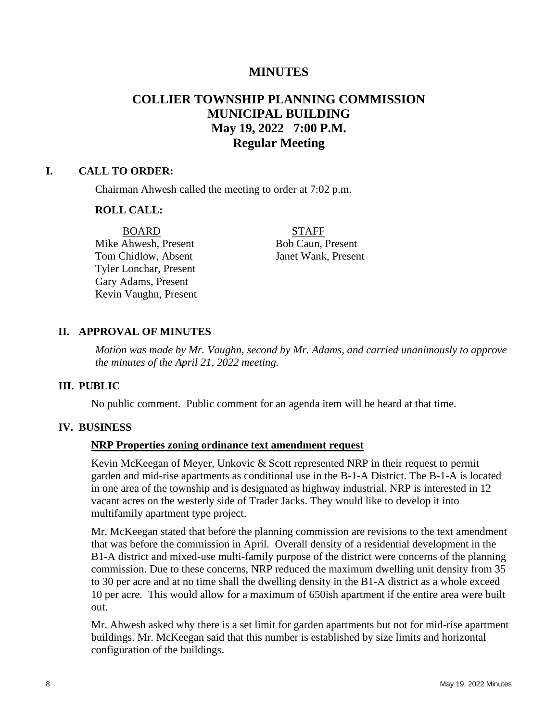# **MINUTES**

# **COLLIER TOWNSHIP PLANNING COMMISSION MUNICIPAL BUILDING May 19, 2022 7:00 P.M. Regular Meeting**

#### **I. CALL TO ORDER:**

Chairman Ahwesh called the meeting to order at 7:02 p.m.

#### **ROLL CALL:**

Mike Ahwesh, Present Bob Caun, Present Tom Chidlow, Absent Janet Wank, Present Tyler Lonchar, Present Gary Adams, Present Kevin Vaughn, Present

BOARD STAFF

## **II. APPROVAL OF MINUTES**

*Motion was made by Mr. Vaughn, second by Mr. Adams, and carried unanimously to approve the minutes of the April 21, 2022 meeting.* 

#### **III. PUBLIC**

No public comment. Public comment for an agenda item will be heard at that time.

#### **IV. BUSINESS**

## **NRP Properties zoning ordinance text amendment request**

Kevin McKeegan of Meyer, Unkovic & Scott represented NRP in their request to permit garden and mid-rise apartments as conditional use in the B-1-A District. The B-1-A is located in one area of the township and is designated as highway industrial. NRP is interested in 12 vacant acres on the westerly side of Trader Jacks. They would like to develop it into multifamily apartment type project.

Mr. McKeegan stated that before the planning commission are revisions to the text amendment that was before the commission in April. Overall density of a residential development in the B1-A district and mixed-use multi-family purpose of the district were concerns of the planning commission. Due to these concerns, NRP reduced the maximum dwelling unit density from 35 to 30 per acre and at no time shall the dwelling density in the B1-A district as a whole exceed 10 per acre. This would allow for a maximum of 650ish apartment if the entire area were built out.

Mr. Ahwesh asked why there is a set limit for garden apartments but not for mid-rise apartment buildings. Mr. McKeegan said that this number is established by size limits and horizontal configuration of the buildings.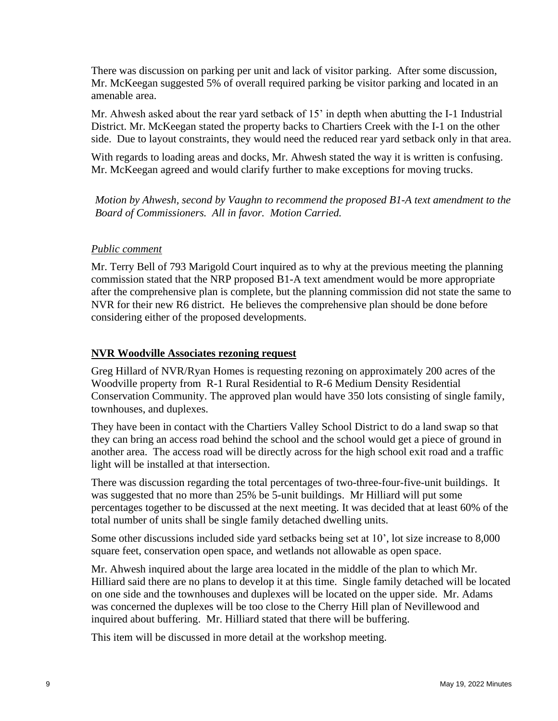There was discussion on parking per unit and lack of visitor parking. After some discussion, Mr. McKeegan suggested 5% of overall required parking be visitor parking and located in an amenable area.

Mr. Ahwesh asked about the rear yard setback of 15' in depth when abutting the I-1 Industrial District. Mr. McKeegan stated the property backs to Chartiers Creek with the I-1 on the other side. Due to layout constraints, they would need the reduced rear yard setback only in that area.

With regards to loading areas and docks, Mr. Ahwesh stated the way it is written is confusing. Mr. McKeegan agreed and would clarify further to make exceptions for moving trucks.

*Motion by Ahwesh, second by Vaughn to recommend the proposed B1-A text amendment to the Board of Commissioners. All in favor. Motion Carried.*

## *Public comment*

Mr. Terry Bell of 793 Marigold Court inquired as to why at the previous meeting the planning commission stated that the NRP proposed B1-A text amendment would be more appropriate after the comprehensive plan is complete, but the planning commission did not state the same to NVR for their new R6 district. He believes the comprehensive plan should be done before considering either of the proposed developments.

## **NVR Woodville Associates rezoning request**

Greg Hillard of NVR/Ryan Homes is requesting rezoning on approximately 200 acres of the Woodville property from R-1 Rural Residential to R-6 Medium Density Residential Conservation Community. The approved plan would have 350 lots consisting of single family, townhouses, and duplexes.

They have been in contact with the Chartiers Valley School District to do a land swap so that they can bring an access road behind the school and the school would get a piece of ground in another area. The access road will be directly across for the high school exit road and a traffic light will be installed at that intersection.

There was discussion regarding the total percentages of two-three-four-five-unit buildings. It was suggested that no more than 25% be 5-unit buildings. Mr Hilliard will put some percentages together to be discussed at the next meeting. It was decided that at least 60% of the total number of units shall be single family detached dwelling units.

Some other discussions included side yard setbacks being set at 10', lot size increase to 8,000 square feet, conservation open space, and wetlands not allowable as open space.

Mr. Ahwesh inquired about the large area located in the middle of the plan to which Mr. Hilliard said there are no plans to develop it at this time. Single family detached will be located on one side and the townhouses and duplexes will be located on the upper side. Mr. Adams was concerned the duplexes will be too close to the Cherry Hill plan of Nevillewood and inquired about buffering. Mr. Hilliard stated that there will be buffering.

This item will be discussed in more detail at the workshop meeting.